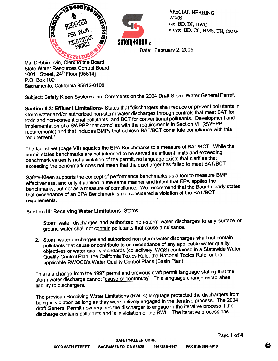



SPECIAL HEARING<br>2/3/05 **2/3/05<br>
ECEIVED**<br>
2/3/05<br>
CC: BD, DI, DWQ<br>
e-cys: BD, CC, HMS, TH, CMW

Date: February 2, 2005

Ms. Debbie Irvin, Clerk to the Board State Water Resources Control Board 1001 I Street, 24<sup>th</sup> Floor [95814] P.O. Box 100 Sacramento, California 95812-0100

Subject: Safety Kleen Systems Inc. Comments on the 2004 Draft Storm Water General Permit

Section II.3: Effluent Limitations- States that "dischargers shall reduce or prevent pollutants in storm water and/or authorized non-storm water discharges through controls that meet BAT for<br>toxic and non-conventional pollutants, and BCT for conventional pollutants. Development and implementation of a SWPPP that complies with the requirements in Section VII (SWPPP) requirements) and that includes BMPs that achieve BAT/BCT constitute compliance with this requirement."

The fact sheet (page VII) equates the EPA Benchmarks to a measure of BAT/BCT. While the permit states benchmarks are not intended to be served as effluent limits and exceeding benchmark values is not a violation of the permit, no language exists that darifies that exceeding the benchmark does not mean that the discharger has failed to meet BAT/BCT.

Safety-Kleen supports the concept of performance benchmarks as a tool to measure BMP<br>effectiveness, and only if applied in the same manner and intent that EPA applies the effectiveness, and only if applied in the same mailiner and interference in Argentic and<br>benchmarks, but not as a measure of compliance. We recommend that the Board clearly states that exceedance of an EPA Benchmark is not considered a violation of the BAT/BCT requirements.

## Section III: Receiving Water Limitations- States:

Storm water discharges and authorized non-storm water discharges to any surface or ground water shall not contain pollutants that cause a nuisance.

2. Storm water discharges and authorized non-storm water discharges shall not contain pollutants that cause or contribute to an exceedance of any applicable water quality objectives or water quality standards (collectively, WQS) contained in a Statewide Water Quality Control Plan, the California Toxics Rule, the National Toxics Rule, or the applicable RWQCB's Water Quality Control Plans (Basin Plan).

This is a change from the 1997 permit and previous draft permit language stating that the storm water discharge cannot "cause or contribute". This language change establishes liability to dischargers.

The previous Receiving Water Limitations (RWLs) language protected the dischargers from being in violation as long as they were actively engaged in the iterative process. The 2004<br>draft General Permit now requires the discharger to engage in the iterative process if the discharge contains pollutants and is in violation of the RWL. The iterative process has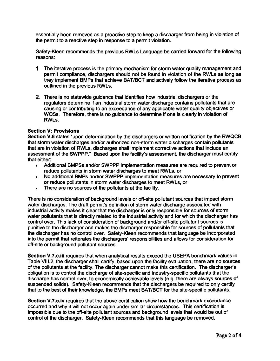essentially been removed as a proactive step to keep a discharger from being in violation of the permit to a reactive step in response to a permit violation.

Safety-Kleen recommends the previous RWLs Language be carried forward for the following reasons:

- 1 The iterative process is the primary mechanism for storm water quality management and permit compliance, dischargers should not be found in violation of the RWLs as long as they implement BMPs that achieve BAT/BCT and actively follow the iterative process as outlined in the previous RWLs.
- 2. There is no statewide guidance that identifies how industrial dischargers or the regulators determine if an industrial storm water discharge contains pollutants that are causing or contributing to an exceedance of any applicable water quality objectives or WQSs. Therefore, there is no guidance to determine if one is clearly in violation of RWls.

## **Section V: Provisions**

Section V.6 states "upon determination by the dischargers or written notification by the RWaCB that storm water discharges and/or authorized non-storm water discharges contain pollutants that are in violation of RWLs, discharges shall implement corrective actions that include an assessment of the SWPPP." Based upon the facility's assessment, the discharger must certify that either:

- Additional BMPSs and/or SWPPP implementation measures are required to prevent or reduce pollutants in storm water discharges to meet RWLs, or
- No additional BMPs and/or SWPPP implementation measures are necessary to prevent or reduce pollutants in storm water discharges to meet RWLs. or . There are no sources of the pollutants at the facility.
- 

There is no consideration of background levels or off-site pollutant sources that impact storm water discharges. The draft permit's definition of storm water discharge associated with industrial activity makes it clear that the discharger is only responsible for sources of storm water pollutants that is directly related to the industrial activity and for which the discharger has control over. This lack of consideration of background and/or off-site pollutant sources is punitive to the discharger and makes the discharger responsible for sources of pollutants that the discharger has no control over. Safety-Kleen recommends that language be incorporated into the permit that reiterates the dischargers' responsibilities and allows for consideration for off-site or background pollutant sources.

Section V.7.c.iii requires that when analytical results exceed the USEPA benchmark values in Table VIII.2, the discharger shall certify, based upon the facility evaluation, there are no sources of the pollutants at the facility. The discharger cannot make this certification. The discharger's obligation is to control the discharge of site-specific and industry-specific pollutants that the discharge has control over, to economically achievable levels (e.g. there are always sources of suspended solids). Safety-Kleen recommends that the dischargers be required to only certify that to the best of their knowledge, the BMPs meet BAT/BCT for the site-specific pollutants.

Section V.7.c.iv requires that the above certification show how the benchmark exceedance occurred and why it will not occur again under similar circumstances. This certification is impossible due to the off-site pollutant sources and background levels that would be out of control of the discharger. Safety-Kleen recommends that this language be removed.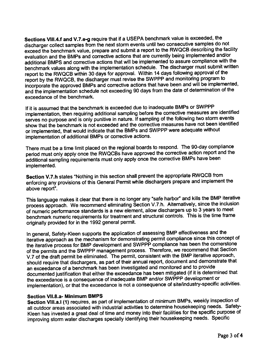Sections VIII.4.f and V.7.e-g require that if a USEPA benchmark value is exceeded, the discharger collect samples from the next storm events until two consecutive samples do not<br>exceed the benchmark value, prepare and submit a report to the RWQCB describing the facility evaluation and the BMPs and corrective actions that are currently being implemented and/or additional BMPS and corrective actions that will be implemented to assure compliance with the benchmark values along with the implementation schedule. The discharger must submit written report to the RWQCB within 30 days for approval. Within 14 days following approval of the report by the RWQCB, the discharger must revise the SWPPP and monitoring program to incorporate the approved BMPs and corrective actions that have been and will be implemented, and the implementation schedule not exceeding 90 days from the date of determination of the exceedance of the benchmark.

If it is assumed that the benchmark is exceeded due to inadequate BMPs or SWPPP implementation, then requiring additional sampling before the corrective measures are identified serves no purpose and is only punitive in nature. If sampling of the following two storm events show that the benchmark is not exceeded and the corrective measures have not been identified or implemented, that would indicate that the BMPs and SWPPP were adequate without implementation of additional BMPs or corrective actions.

There must be a time limit placed on the regional boards to respond. The 90-day compliance period must only apply once the RWQCBs have approved the corrective action report and the<br>additional sampling requirements must only apply once the corrective BMPs have been implemented.

Section V.7.h states "Nothing in this section shall prevent the appropriate RWQCB from enforcing any provisions of this General Permit while dischargers prepare and implement the above report",

This language makes it clear that there is no longer any "safe harbor" and kills the BMP iterative process approach. We recommend eliminating Section V.7.h. Alternatively, since the inclusion of numeric performance standards is a new element, allow dischargers up to 3 years to meet benchmark numeric requirements for treatment and structural controls. This is the time frame originally provided for in the 1992 general permit.

In general, Safety-Kleen supports the application of assessing BMP effectiveness and the iterative approach as the mechanism for demonstrating permit compliance since this concept of the iterative process for BMP development and SWPPP compliance has been the cornerstone of the permits and the SWPPP management process. Therefore, we recommend that Section V.7 of the draft permit be eliminated. The permit, consistent with the BMP iterative approach, should require that dischargers, as part of their annual report, document and demonstrate that an exceedance of a benchmark has been investigated and monitored and to provide documented justification that either the exceedance has been mitigated (if it is determined that the exceedance is a consequence of inadequate BMP and/or SWPPP development or implementation), or that the exceedance is not a consequence of site/industry-specific activities.

Section VII.8.a- Minimum BMPS<br>Section VIII.a.i (1) requires, as part of implementation of minimum BMPs, weekly inspection of all outdoor areas associated with industrial activities to determine housekeeping needs. Safety-Kleen has invested a great deal of time and money into their facilities for the specific purpose of improving storm water discharges specially identifying their housekeeping needs. Specific